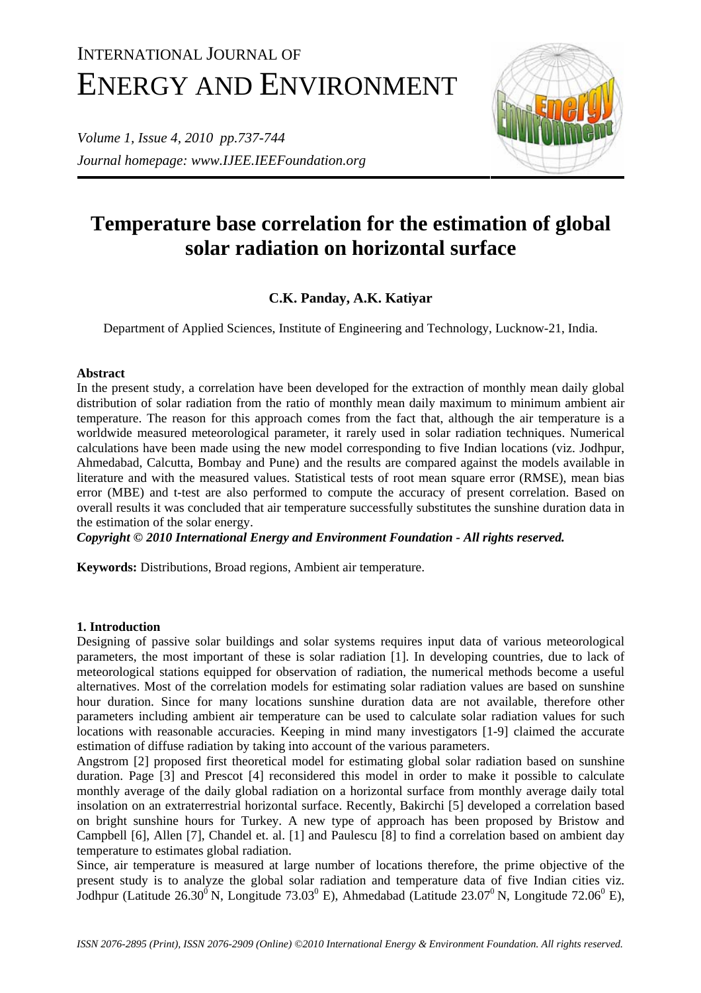# INTERNATIONAL JOURNAL OF ENERGY AND ENVIRONMENT

*Volume 1, Issue 4, 2010 pp.737-744 Journal homepage: www.IJEE.IEEFoundation.org* 



## **Temperature base correlation for the estimation of global solar radiation on horizontal surface**

## **C.K. Panday, A.K. Katiyar**

Department of Applied Sciences, Institute of Engineering and Technology, Lucknow-21, India.

## **Abstract**

In the present study, a correlation have been developed for the extraction of monthly mean daily global distribution of solar radiation from the ratio of monthly mean daily maximum to minimum ambient air temperature. The reason for this approach comes from the fact that, although the air temperature is a worldwide measured meteorological parameter, it rarely used in solar radiation techniques. Numerical calculations have been made using the new model corresponding to five Indian locations (viz. Jodhpur, Ahmedabad, Calcutta, Bombay and Pune) and the results are compared against the models available in literature and with the measured values. Statistical tests of root mean square error (RMSE), mean bias error (MBE) and t-test are also performed to compute the accuracy of present correlation. Based on overall results it was concluded that air temperature successfully substitutes the sunshine duration data in the estimation of the solar energy.

*Copyright © 2010 International Energy and Environment Foundation - All rights reserved.*

**Keywords:** Distributions, Broad regions, Ambient air temperature.

## **1. Introduction**

Designing of passive solar buildings and solar systems requires input data of various meteorological parameters, the most important of these is solar radiation [1]. In developing countries, due to lack of meteorological stations equipped for observation of radiation, the numerical methods become a useful alternatives. Most of the correlation models for estimating solar radiation values are based on sunshine hour duration. Since for many locations sunshine duration data are not available, therefore other parameters including ambient air temperature can be used to calculate solar radiation values for such locations with reasonable accuracies. Keeping in mind many investigators [1-9] claimed the accurate estimation of diffuse radiation by taking into account of the various parameters.

Angstrom [2] proposed first theoretical model for estimating global solar radiation based on sunshine duration. Page [3] and Prescot [4] reconsidered this model in order to make it possible to calculate monthly average of the daily global radiation on a horizontal surface from monthly average daily total insolation on an extraterrestrial horizontal surface. Recently, Bakirchi [5] developed a correlation based on bright sunshine hours for Turkey. A new type of approach has been proposed by Bristow and Campbell [6], Allen [7], Chandel et. al. [1] and Paulescu [8] to find a correlation based on ambient day temperature to estimates global radiation.

Since, air temperature is measured at large number of locations therefore, the prime objective of the present study is to analyze the global solar radiation and temperature data of five Indian cities viz. Jodhpur (Latitude 26.30<sup>0</sup> N, Longitude 73.03<sup>0</sup> E), Ahmedabad (Latitude 23.07<sup>0</sup> N, Longitude 72.06<sup>0</sup> E),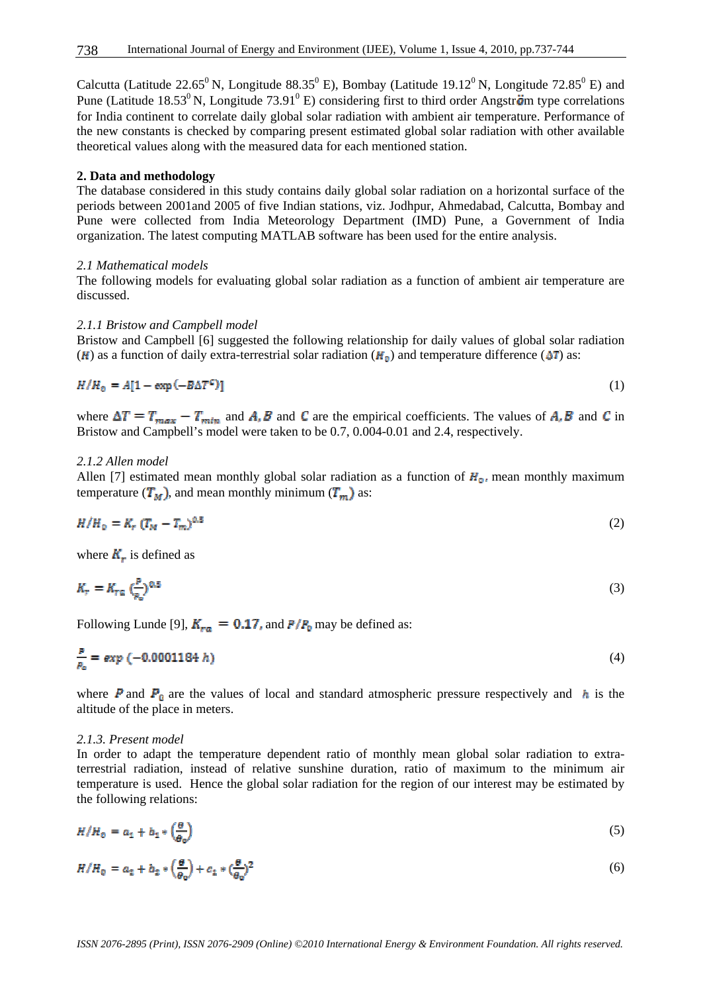Calcutta (Latitude 22.65<sup>0</sup> N, Longitude 88.35<sup>0</sup> E), Bombay (Latitude 19.12<sup>0</sup> N, Longitude 72.85<sup>0</sup> E) and Pune (Latitude 18.53<sup>0</sup>N, Longitude 73.91<sup>0</sup> E) considering first to third order Angstr**ö**m type correlations for India continent to correlate daily global solar radiation with ambient air temperature. Performance of the new constants is checked by comparing present estimated global solar radiation with other available theoretical values along with the measured data for each mentioned station.

#### **2. Data and methodology**

The database considered in this study contains daily global solar radiation on a horizontal surface of the periods between 2001and 2005 of five Indian stations, viz. Jodhpur, Ahmedabad, Calcutta, Bombay and Pune were collected from India Meteorology Department (IMD) Pune, a Government of India organization. The latest computing MATLAB software has been used for the entire analysis.

#### *2.1 Mathematical models*

The following models for evaluating global solar radiation as a function of ambient air temperature are discussed.

#### *2.1.1 Bristow and Campbell model*

Bristow and Campbell [6] suggested the following relationship for daily values of global solar radiation (*H*) as a function of daily extra-terrestrial solar radiation ( $H_n$ ) and temperature difference ( $\Delta T$ ) as:

$$
H/H_0 = A[1 - \exp(-B\Delta T^c)]
$$

(1)

where  $\Delta T = T_{max} - T_{min}$  and A, B and C are the empirical coefficients. The values of A, B and C in Bristow and Campbell's model were taken to be 0.7, 0.004-0.01 and 2.4, respectively.

#### *2.1.2 Allen model*

Allen [7] estimated mean monthly global solar radiation as a function of  $H_{\circ}$ , mean monthly maximum temperature  $(T_M)$ , and mean monthly minimum  $(T_m)$  as:

$$
H/H_0 = K_r (T_M - T_m)^{0.5}
$$
 (2)

where  $K_{\rm r}$  is defined as

$$
K_{\tau} = K_{r\alpha} \left(\frac{P}{P_{\alpha}}\right)^{0.5} \tag{3}
$$

Following Lunde [9],  $K_{ra} = 0.17$ , and  $P/P_0$  may be defined as:

$$
\frac{p}{p_o} = exp(-0.0001184 \ h) \tag{4}
$$

where **P** and  $P_{\text{fl}}$  are the values of local and standard atmospheric pressure respectively and  $\boldsymbol{h}$  is the altitude of the place in meters.

#### *2.1.3. Present model*

In order to adapt the temperature dependent ratio of monthly mean global solar radiation to extraterrestrial radiation, instead of relative sunshine duration, ratio of maximum to the minimum air temperature is used. Hence the global solar radiation for the region of our interest may be estimated by the following relations:

$$
H/H_0 = a_{\underline{\imath}} + b_{\underline{\imath}} * \left(\frac{\theta}{\theta_0}\right) \tag{5}
$$

$$
H/H_0 = a_2 + b_2 * \left(\frac{\theta}{\theta_0}\right) + c_1 * \left(\frac{\theta}{\theta_0}\right)^2 \tag{6}
$$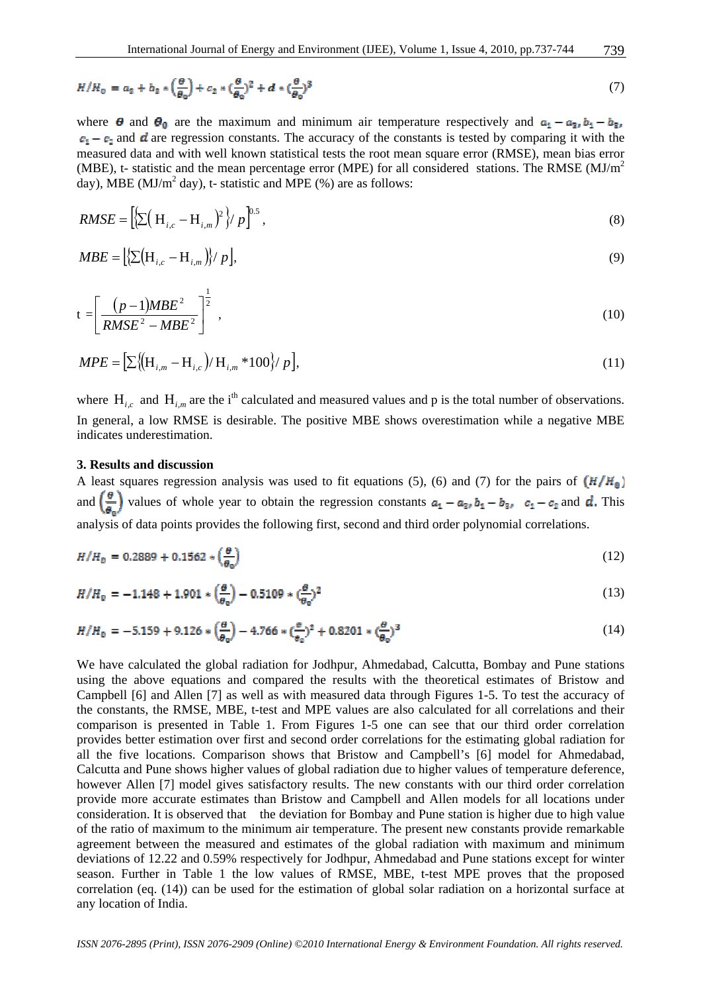$$
H/H_0 = a_2 + b_2 \cdot \left(\frac{\theta}{\theta_0}\right) + c_2 \cdot \left(\frac{\theta}{\theta_0}\right)^2 + d \cdot \left(\frac{\theta}{\theta_0}\right)^3 \tag{7}
$$

where  $\theta$  and  $\theta_0$  are the maximum and minimum air temperature respectively and  $a_1 - a_2$ ,  $b_1 - b_2$ ,  $c_1 - c_2$  and **d** are regression constants. The accuracy of the constants is tested by comparing it with the measured data and with well known statistical tests the root mean square error (RMSE), mean bias error (MBE), t- statistic and the mean percentage error (MPE) for all considered stations. The RMSE (MJ/m<sup>2</sup> day), MBE (MJ/m<sup>2</sup> day), t- statistic and MPE (%) are as follows:

$$
RMSE = \left[ \sum \left( H_{i,c} - H_{i,m} \right)^2 \right] / p \right]^{0.5},\tag{8}
$$

$$
MBE = \left[ \left\{ \sum \left( \mathbf{H}_{i,c} - \mathbf{H}_{i,m} \right) \right\} / p \right],\tag{9}
$$

$$
t = \left[\frac{(p-1)MBE^2}{RMSE^2 - MBE^2}\right]^{\frac{1}{2}},
$$
\n(10)

$$
MPE = \left[\sum\{(\mathbf{H}_{i,m} - \mathbf{H}_{i,c})/\mathbf{H}_{i,m} * 100\}/p\right],\tag{11}
$$

where  $H_{i,c}$  and  $H_{i,m}$  are the i<sup>th</sup> calculated and measured values and p is the total number of observations. In general, a low RMSE is desirable. The positive MBE shows overestimation while a negative MBE indicates underestimation.

## **3. Results and discussion**

A least squares regression analysis was used to fit equations (5), (6) and (7) for the pairs of  $(H/H_0)$ and  $\left(\frac{\theta}{a_n}\right)$  values of whole year to obtain the regression constants  $a_1 - a_2$ ,  $b_1 - b_2$ ,  $c_1 - c_2$  and  $d$ . This analysis of data points provides the following first, second and third order polynomial correlations.

$$
H/H_0 = 0.2889 + 0.1562 * \left(\frac{\theta}{\theta_0}\right) \tag{12}
$$

$$
H/H_0 = -1.148 + 1.901 * \left(\frac{\theta}{\theta_0}\right) - 0.5109 * \left(\frac{\theta}{\theta_0}\right)^2 \tag{13}
$$

$$
H/H_0 = -5.159 + 9.126 * \left(\frac{\theta}{\theta_0}\right) - 4.766 * \left(\frac{\theta}{\theta_0}\right)^2 + 0.8201 * \left(\frac{\theta}{\theta_0}\right)^3 \tag{14}
$$

We have calculated the global radiation for Jodhpur, Ahmedabad, Calcutta, Bombay and Pune stations using the above equations and compared the results with the theoretical estimates of Bristow and Campbell [6] and Allen [7] as well as with measured data through Figures 1-5. To test the accuracy of the constants, the RMSE, MBE, t-test and MPE values are also calculated for all correlations and their comparison is presented in Table 1. From Figures 1-5 one can see that our third order correlation provides better estimation over first and second order correlations for the estimating global radiation for all the five locations. Comparison shows that Bristow and Campbell's [6] model for Ahmedabad, Calcutta and Pune shows higher values of global radiation due to higher values of temperature deference, however Allen [7] model gives satisfactory results. The new constants with our third order correlation provide more accurate estimates than Bristow and Campbell and Allen models for all locations under consideration. It is observed that the deviation for Bombay and Pune station is higher due to high value of the ratio of maximum to the minimum air temperature. The present new constants provide remarkable agreement between the measured and estimates of the global radiation with maximum and minimum deviations of 12.22 and 0.59% respectively for Jodhpur, Ahmedabad and Pune stations except for winter season. Further in Table 1 the low values of RMSE, MBE, t-test MPE proves that the proposed correlation (eq. (14)) can be used for the estimation of global solar radiation on a horizontal surface at any location of India.

*ISSN 2076-2895 (Print), ISSN 2076-2909 (Online) ©2010 International Energy & Environment Foundation. All rights reserved.*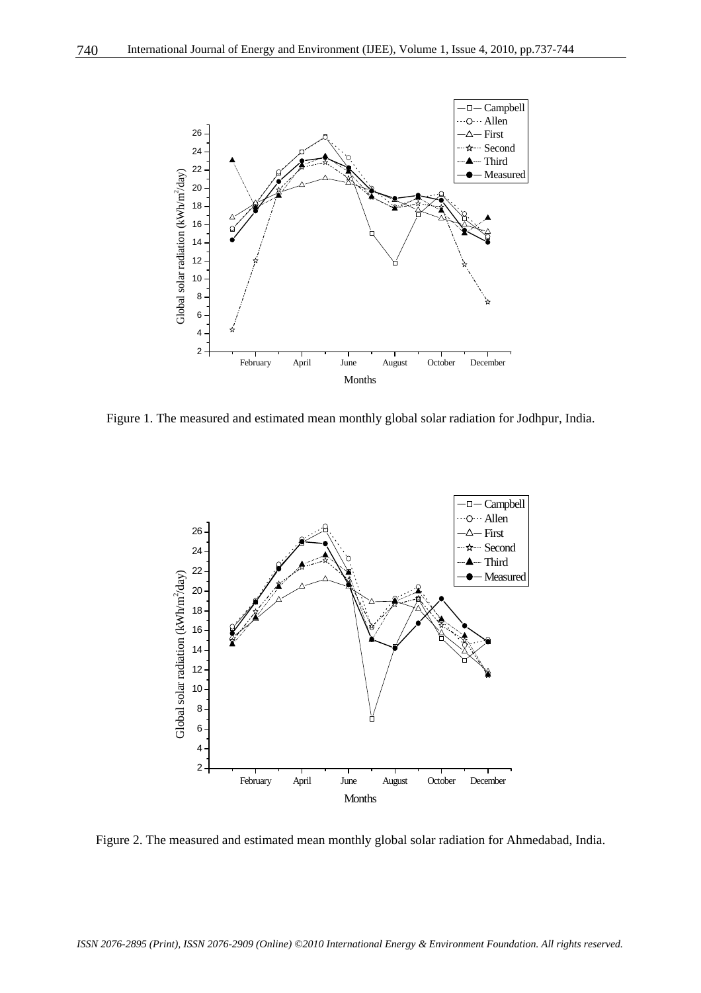

Figure 1. The measured and estimated mean monthly global solar radiation for Jodhpur, India.



Figure 2. The measured and estimated mean monthly global solar radiation for Ahmedabad, India.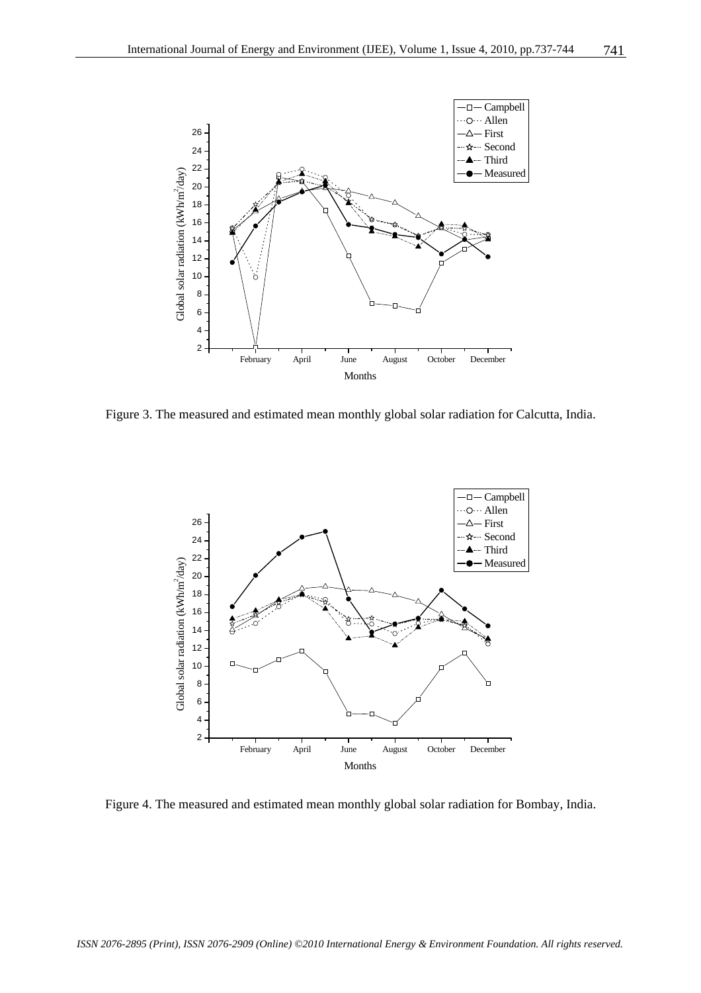

Figure 3. The measured and estimated mean monthly global solar radiation for Calcutta, India.



Figure 4. The measured and estimated mean monthly global solar radiation for Bombay, India.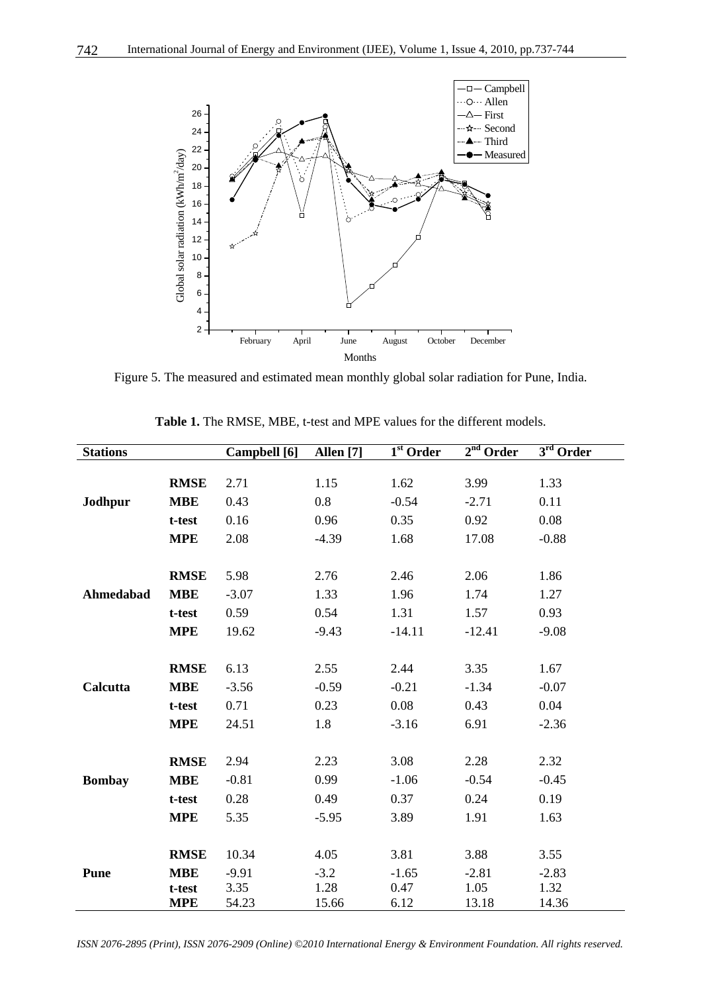

Figure 5. The measured and estimated mean monthly global solar radiation for Pune, India.

| <b>Stations</b> |             | Campbell [6] | Allen [7] | $\overline{1}^{\text{st}}$ Order | $2nd$ Order | $3rd$ Order |
|-----------------|-------------|--------------|-----------|----------------------------------|-------------|-------------|
|                 |             |              |           |                                  |             |             |
|                 | <b>RMSE</b> | 2.71         | 1.15      | 1.62                             | 3.99        | 1.33        |
| Jodhpur         | <b>MBE</b>  | 0.43         | 0.8       | $-0.54$                          | $-2.71$     | 0.11        |
|                 | t-test      | 0.16         | 0.96      | 0.35                             | 0.92        | 0.08        |
|                 | <b>MPE</b>  | 2.08         | $-4.39$   | 1.68                             | 17.08       | $-0.88$     |
|                 |             |              |           |                                  |             |             |
|                 | <b>RMSE</b> | 5.98         | 2.76      | 2.46                             | 2.06        | 1.86        |
| Ahmedabad       | <b>MBE</b>  | $-3.07$      | 1.33      | 1.96                             | 1.74        | 1.27        |
|                 | t-test      | 0.59         | 0.54      | 1.31                             | 1.57        | 0.93        |
|                 | <b>MPE</b>  | 19.62        | $-9.43$   | $-14.11$                         | $-12.41$    | $-9.08$     |
|                 |             |              |           |                                  |             |             |
|                 | <b>RMSE</b> | 6.13         | 2.55      | 2.44                             | 3.35        | 1.67        |
| Calcutta        | <b>MBE</b>  | $-3.56$      | $-0.59$   | $-0.21$                          | $-1.34$     | $-0.07$     |
|                 | t-test      | 0.71         | 0.23      | 0.08                             | 0.43        | 0.04        |
|                 | <b>MPE</b>  | 24.51        | 1.8       | $-3.16$                          | 6.91        | $-2.36$     |
|                 |             |              |           |                                  |             |             |
|                 | <b>RMSE</b> | 2.94         | 2.23      | 3.08                             | 2.28        | 2.32        |
| <b>Bombay</b>   | <b>MBE</b>  | $-0.81$      | 0.99      | $-1.06$                          | $-0.54$     | $-0.45$     |
|                 | t-test      | 0.28         | 0.49      | 0.37                             | 0.24        | 0.19        |
|                 | <b>MPE</b>  | 5.35         | $-5.95$   | 3.89                             | 1.91        | 1.63        |
|                 |             |              |           |                                  |             |             |
|                 | <b>RMSE</b> | 10.34        | 4.05      | 3.81                             | 3.88        | 3.55        |
| <b>Pune</b>     | <b>MBE</b>  | $-9.91$      | $-3.2$    | $-1.65$                          | $-2.81$     | $-2.83$     |
|                 | t-test      | 3.35         | 1.28      | 0.47                             | 1.05        | 1.32        |
|                 | <b>MPE</b>  | 54.23        | 15.66     | 6.12                             | 13.18       | 14.36       |

**Table 1.** The RMSE, MBE, t-test and MPE values for the different models.